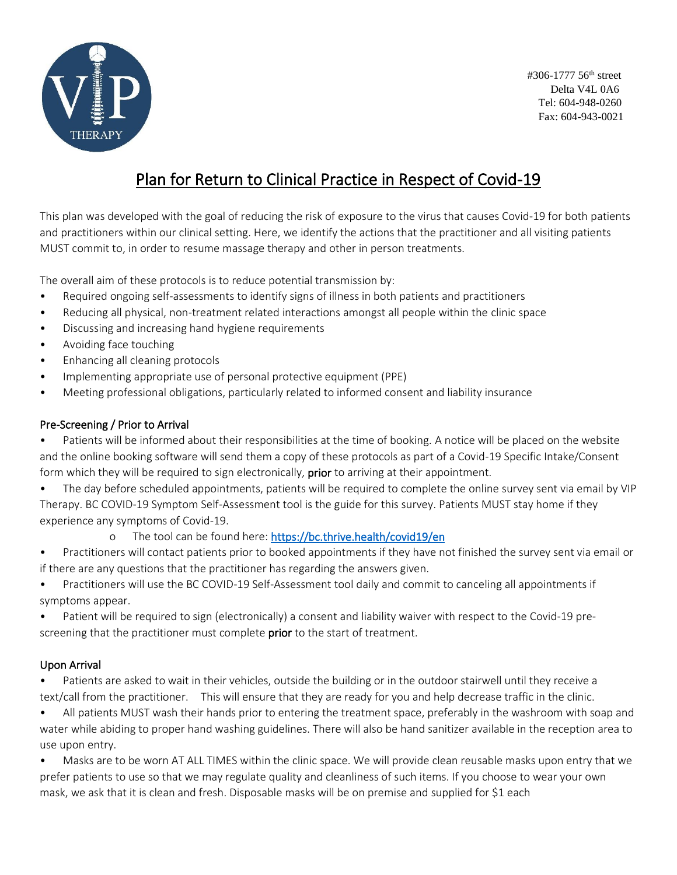

#306-1777 56th street Delta V4L 0A6 Tel: 604-948-0260 Fax: 604-943-0021

# Plan for Return to Clinical Practice in Respect of Covid-19

This plan was developed with the goal of reducing the risk of exposure to the virus that causes Covid-19 for both patients and practitioners within our clinical setting. Here, we identify the actions that the practitioner and all visiting patients MUST commit to, in order to resume massage therapy and other in person treatments.

The overall aim of these protocols is to reduce potential transmission by:

- Required ongoing self-assessments to identify signs of illness in both patients and practitioners
- Reducing all physical, non-treatment related interactions amongst all people within the clinic space
- Discussing and increasing hand hygiene requirements
- Avoiding face touching
- Enhancing all cleaning protocols
- Implementing appropriate use of personal protective equipment (PPE)
- Meeting professional obligations, particularly related to informed consent and liability insurance

#### Pre-Screening / Prior to Arrival

• Patients will be informed about their responsibilities at the time of booking. A notice will be placed on the website and the online booking software will send them a copy of these protocols as part of a Covid-19 Specific Intake/Consent form which they will be required to sign electronically, prior to arriving at their appointment.

• The day before scheduled appointments, patients will be required to complete the online survey sent via email by VIP Therapy. BC COVID-19 Symptom Self-Assessment tool is the guide for this survey. Patients MUST stay home if they experience any symptoms of Covid-19.

o The tool can be found here:<https://bc.thrive.health/covid19/en>

• Practitioners will contact patients prior to booked appointments if they have not finished the survey sent via email or if there are any questions that the practitioner has regarding the answers given.

• Practitioners will use the BC COVID-19 Self-Assessment tool daily and commit to canceling all appointments if symptoms appear.

• Patient will be required to sign (electronically) a consent and liability waiver with respect to the Covid-19 prescreening that the practitioner must complete prior to the start of treatment.

#### Upon Arrival

• Patients are asked to wait in their vehicles, outside the building or in the outdoor stairwell until they receive a text/call from the practitioner. This will ensure that they are ready for you and help decrease traffic in the clinic.

• All patients MUST wash their hands prior to entering the treatment space, preferably in the washroom with soap and water while abiding to proper hand washing guidelines. There will also be hand sanitizer available in the reception area to use upon entry.

• Masks are to be worn AT ALL TIMES within the clinic space. We will provide clean reusable masks upon entry that we prefer patients to use so that we may regulate quality and cleanliness of such items. If you choose to wear your own mask, we ask that it is clean and fresh. Disposable masks will be on premise and supplied for \$1 each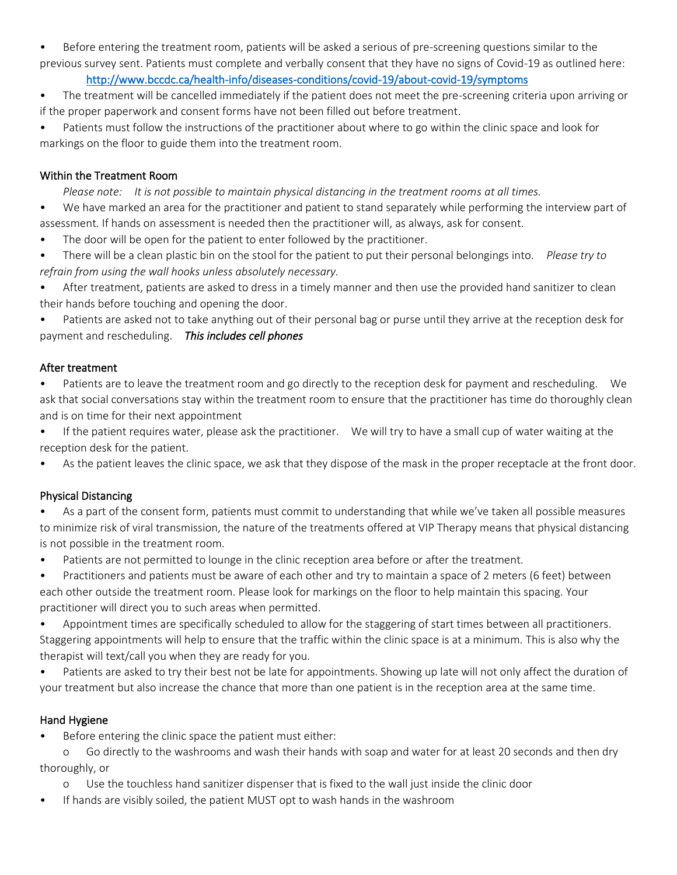• Before entering the treatment room, patients will be asked a serious of pre-screening questions similar to the previous survey sent. Patients must complete and verbally consent that they have no signs of Covid-19 as outlined here:

#### <http://www.bccdc.ca/health-info/diseases-conditions/covid-19/about-covid-19/symptoms>

• The treatment will be cancelled immediately if the patient does not meet the pre-screening criteria upon arriving or if the proper paperwork and consent forms have not been filled out before treatment.

Patients must follow the instructions of the practitioner about where to go within the clinic space and look for markings on the floor to guide them into the treatment room.

#### Within the Treatment Room

*Please note: It is not possible to maintain physical distancing in the treatment rooms at all times.*

• We have marked an area for the practitioner and patient to stand separately while performing the interview part of assessment. If hands on assessment is needed then the practitioner will, as always, ask for consent.

- The door will be open for the patient to enter followed by the practitioner.
- There will be a clean plastic bin on the stool for the patient to put their personal belongings into. *Please try to refrain from using the wall hooks unless absolutely necessary.*

• After treatment, patients are asked to dress in a timely manner and then use the provided hand sanitizer to clean their hands before touching and opening the door.

• Patients are asked not to take anything out of their personal bag or purse until they arrive at the reception desk for payment and rescheduling. *This includes cell phones*

#### After treatment

- Patients are to leave the treatment room and go directly to the reception desk for payment and rescheduling. We ask that social conversations stay within the treatment room to ensure that the practitioner has time do thoroughly clean and is on time for their next appointment
- If the patient requires water, please ask the practitioner. We will try to have a small cup of water waiting at the reception desk for the patient.
- As the patient leaves the clinic space, we ask that they dispose of the mask in the proper receptacle at the front door.

## Physical Distancing

- As a part of the consent form, patients must commit to understanding that while we've taken all possible measures to minimize risk of viral transmission, the nature of the treatments offered at VIP Therapy means that physical distancing is not possible in the treatment room.
- Patients are not permitted to lounge in the clinic reception area before or after the treatment.
- Practitioners and patients must be aware of each other and try to maintain a space of 2 meters (6 feet) between each other outside the treatment room. Please look for markings on the floor to help maintain this spacing. Your practitioner will direct you to such areas when permitted.

• Appointment times are specifically scheduled to allow for the staggering of start times between all practitioners. Staggering appointments will help to ensure that the traffic within the clinic space is at a minimum. This is also why the therapist will text/call you when they are ready for you.

• Patients are asked to try their best not be late for appointments. Showing up late will not only affect the duration of your treatment but also increase the chance that more than one patient is in the reception area at the same time.

## Hand Hygiene

Before entering the clinic space the patient must either:

o Go directly to the washrooms and wash their hands with soap and water for at least 20 seconds and then dry thoroughly, or

- o Use the touchless hand sanitizer dispenser that is fixed to the wall just inside the clinic door
- If hands are visibly soiled, the patient MUST opt to wash hands in the washroom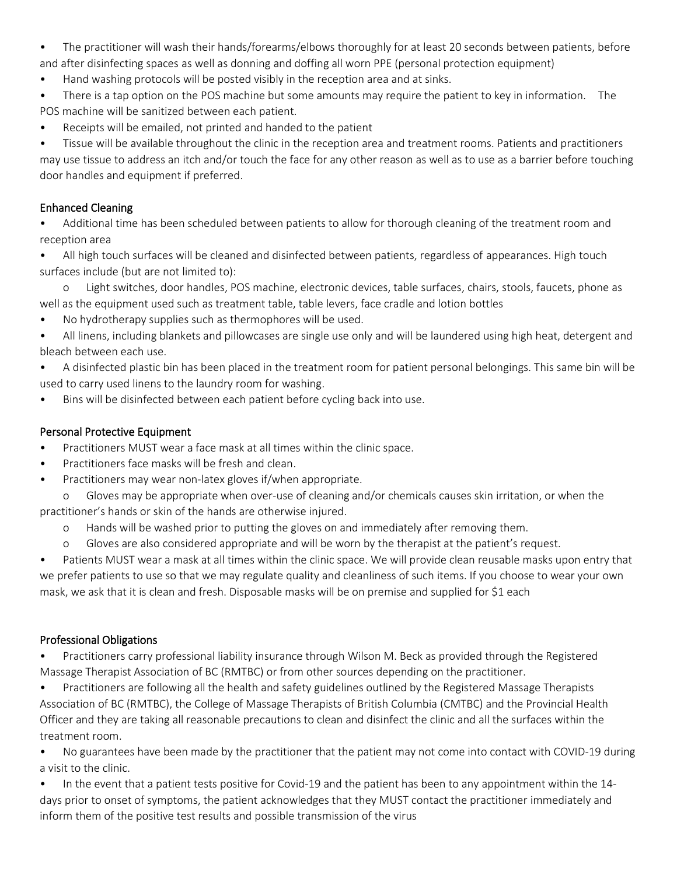- The practitioner will wash their hands/forearms/elbows thoroughly for at least 20 seconds between patients, before and after disinfecting spaces as well as donning and doffing all worn PPE (personal protection equipment)
- Hand washing protocols will be posted visibly in the reception area and at sinks.
- There is a tap option on the POS machine but some amounts may require the patient to key in information. The POS machine will be sanitized between each patient.
- Receipts will be emailed, not printed and handed to the patient

• Tissue will be available throughout the clinic in the reception area and treatment rooms. Patients and practitioners may use tissue to address an itch and/or touch the face for any other reason as well as to use as a barrier before touching door handles and equipment if preferred.

## Enhanced Cleaning

• Additional time has been scheduled between patients to allow for thorough cleaning of the treatment room and reception area

• All high touch surfaces will be cleaned and disinfected between patients, regardless of appearances. High touch surfaces include (but are not limited to):

o Light switches, door handles, POS machine, electronic devices, table surfaces, chairs, stools, faucets, phone as well as the equipment used such as treatment table, table levers, face cradle and lotion bottles

- No hydrotherapy supplies such as thermophores will be used.
- All linens, including blankets and pillowcases are single use only and will be laundered using high heat, detergent and bleach between each use.
- A disinfected plastic bin has been placed in the treatment room for patient personal belongings. This same bin will be used to carry used linens to the laundry room for washing.
- Bins will be disinfected between each patient before cycling back into use.

# Personal Protective Equipment

- Practitioners MUST wear a face mask at all times within the clinic space.
- Practitioners face masks will be fresh and clean.
- Practitioners may wear non-latex gloves if/when appropriate.
- o Gloves may be appropriate when over-use of cleaning and/or chemicals causes skin irritation, or when the practitioner's hands or skin of the hands are otherwise injured.
	- o Hands will be washed prior to putting the gloves on and immediately after removing them.
	- o Gloves are also considered appropriate and will be worn by the therapist at the patient's request.

• Patients MUST wear a mask at all times within the clinic space. We will provide clean reusable masks upon entry that we prefer patients to use so that we may regulate quality and cleanliness of such items. If you choose to wear your own mask, we ask that it is clean and fresh. Disposable masks will be on premise and supplied for \$1 each

## Professional Obligations

• Practitioners carry professional liability insurance through Wilson M. Beck as provided through the Registered Massage Therapist Association of BC (RMTBC) or from other sources depending on the practitioner.

• Practitioners are following all the health and safety guidelines outlined by the Registered Massage Therapists Association of BC (RMTBC), the College of Massage Therapists of British Columbia (CMTBC) and the Provincial Health Officer and they are taking all reasonable precautions to clean and disinfect the clinic and all the surfaces within the treatment room.

• No guarantees have been made by the practitioner that the patient may not come into contact with COVID-19 during a visit to the clinic.

• In the event that a patient tests positive for Covid-19 and the patient has been to any appointment within the 14 days prior to onset of symptoms, the patient acknowledges that they MUST contact the practitioner immediately and inform them of the positive test results and possible transmission of the virus